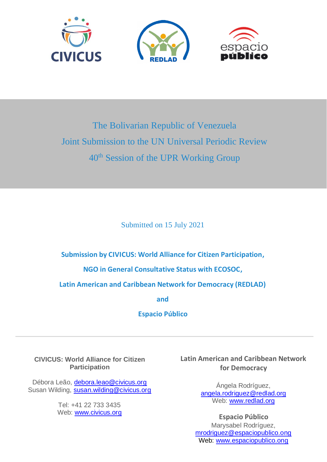

# The Bolivarian Republic of Venezuela Joint Submission to the UN Universal Periodic Review 40th Session of the UPR Working Group

Submitted on 15 July 2021

**Submission by CIVICUS: World Alliance for Citizen Participation,**

**NGO in General Consultative Status with ECOSOC,**

**Latin American and Caribbean Network for Democracy (REDLAD)**

**and**

**Espacio Público**

**CIVICUS: World Alliance for Citizen Participation**

Débora Leão, [debora.leao@civicus.org](mailto:debora.leao@civicus.org) Susan Wilding, [susan.wilding@civicus.org](mailto:susan.wilding@civicus.org)

> Tel: +41 22 733 3435 Web: [www.civicus.org](http://www.civicus.org/)

**Latin American and Caribbean Network for Democracy** 

> Ángela Rodríguez, [angela.rodriguez@redlad.org](mailto:angela.rodriguez@redlad.org) Web: [www.redlad.org](http://www.redlad.org/)

**Espacio Público** Marysabel Rodríguez, [mrodriguez@espaciopublico.ong](mailto:mrodriguez@espaciopublico.org) Web: [www.espaciopublico.ong](http://www.espaciopublico.ong/)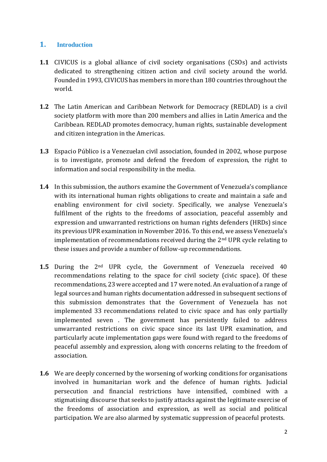### **1. Introduction**

- **1.1** CIVICUS is a global alliance of civil society organisations (CSOs) and activists dedicated to strengthening citizen action and civil society around the world. Founded in 1993, CIVICUS has members in more than 180 countries throughout the world.
- **1.2** The Latin American and Caribbean Network for Democracy (REDLAD) is a civil society platform with more than 200 members and allies in Latin America and the Caribbean. REDLAD promotes democracy, human rights, sustainable development and citizen integration in the Americas.
- **1.3** Espacio Público is a Venezuelan civil association, founded in 2002, whose purpose is to investigate, promote and defend the freedom of expression, the right to information and social responsibility in the media.
- **1.4** In this submission, the authors examine the Government of Venezuela's compliance with its international human rights obligations to create and maintain a safe and enabling environment for civil society. Specifically, we analyse Venezuela's fulfilment of the rights to the freedoms of association, peaceful assembly and expression and unwarranted restrictions on human rights defenders (HRDs) since its previous UPR examination in November 2016. To this end, we assess Venezuela's implementation of recommendations received during the  $2<sup>nd</sup>$  UPR cycle relating to these issues and provide a number of follow-up recommendations.
- 1.5 During the 2<sup>nd</sup> UPR cycle, the Government of Venezuela received 40 recommendations relating to the space for civil society (civic space). Of these recommendations, 23 were accepted and 17 were noted. An evaluation of a range of legal sources and human rights documentation addressed in subsequent sections of this submission demonstrates that the Government of Venezuela has not implemented 33 recommendations related to civic space and has only partially implemented seven . The government has persistently failed to address unwarranted restrictions on civic space since its last UPR examination, and particularly acute implementation gaps were found with regard to the freedoms of peaceful assembly and expression, along with concerns relating to the freedom of association.
- **1.6** We are deeply concerned by the worsening of working conditions for organisations involved in humanitarian work and the defence of human rights. Judicial persecution and financial restrictions have intensified, combined with a stigmatising discourse that seeks to justify attacks against the legitimate exercise of the freedoms of association and expression, as well as social and political participation. We are also alarmed by systematic suppression of peaceful protests.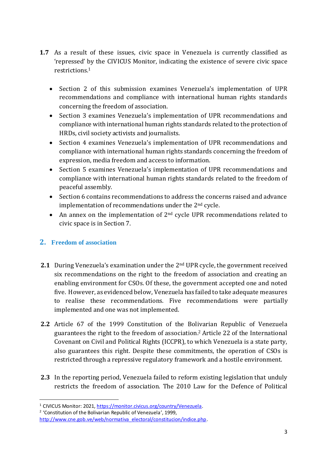- **1.7** As a result of these issues, civic space in Venezuela is currently classified as 'repressed' by the CIVICUS Monitor, indicating the existence of severe civic space restrictions.<sup>1</sup>
	- Section 2 of this submission examines Venezuela's implementation of UPR recommendations and compliance with international human rights standards concerning the freedom of association.
	- Section 3 examines Venezuela's implementation of UPR recommendations and compliance with international human rights standards related to the protection of HRDs, civil society activists and journalists.
	- Section 4 examines Venezuela's implementation of UPR recommendations and compliance with international human rights standards concerning the freedom of expression, media freedom and access to information.
	- Section 5 examines Venezuela's implementation of UPR recommendations and compliance with international human rights standards related to the freedom of peaceful assembly.
	- Section 6 contains recommendations to address the concerns raised and advance implementation of recommendations under the 2nd cycle.
	- An annex on the implementation of 2<sup>nd</sup> cycle UPR recommendations related to civic space is in Section 7.

# **2. Freedom of association**

- **2.1** During Venezuela's examination under the 2nd UPR cycle, the government received six recommendations on the right to the freedom of association and creating an enabling environment for CSOs. Of these, the government accepted one and noted five. However, as evidenced below, Venezuela has failed to take adequate measures to realise these recommendations. Five recommendations were partially implemented and one was not implemented.
- **2.2** Article 67 of the 1999 Constitution of the Bolivarian Republic of Venezuela guarantees the right to the freedom of association. <sup>2</sup> Article 22 of the International Covenant on Civil and Political Rights (ICCPR), to which Venezuela is a state party, also guarantees this right. Despite these commitments, the operation of CSOs is restricted through a repressive regulatory framework and a hostile environment.
- **2.3** In the reporting period, Venezuela failed to reform existing legislation that unduly restricts the freedom of association. The 2010 Law for the Defence of Political

2 'Constitution of the Bolivarian Republic of Venezuela', 1999,

<sup>1</sup> CIVICUS Monitor: 2021[, https://monitor.civicus.org/country/Venezuela.](https://monitor.civicus.org/country/Venezuela)

[http://www.cne.gob.ve/web/normativa\\_electoral/constitucion/indice.php.](http://www.cne.gob.ve/web/normativa_electoral/constitucion/indice.php)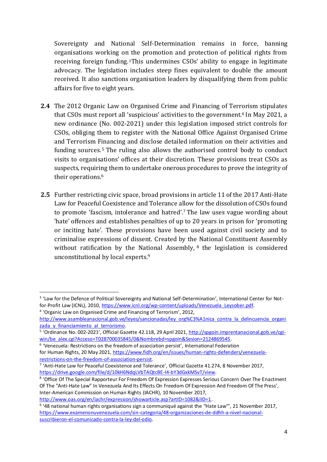Sovereignty and National Self-Determination remains in force, banning organisations working on the promotion and protection of political rights from receiving foreign funding. <sup>3</sup>This undermines CSOs' ability to engage in legitimate advocacy. The legislation includes steep fines equivalent to double the amount received. It also sanctions organisation leaders by disqualifying them from public affairs for five to eight years.

- **2.4** The 2012 Organic Law on Organised Crime and Financing of Terrorism stipulates that CSOs must report all 'suspicious' activities to the government.<sup>4</sup> In May 2021, a new ordinance (No. 002-2021) under this legislation imposed strict controls for CSOs, obliging them to register with the National Office Against Organised Crime and Terrorism Financing and disclose detailed information on their activities and funding sources. <sup>5</sup> The ruling also allows the authorised control body to conduct visits to organisations' offices at their discretion. These provisions treat CSOs as suspects, requiring them to undertake onerous procedures to prove the integrity of their operations. 6
- **2.5** Further restricting civic space, broad provisions in article 11 of the 2017 Anti-Hate Law for Peaceful Coexistence and Tolerance allow for the dissolution of CSOs found to promote 'fascism, intolerance and hatred'. <sup>7</sup> The law uses vague wording about 'hate' offences and establishes penalties of up to 20 years in prison for 'promoting or inciting hate'. These provisions have been used against civil society and to criminalise expressions of dissent. Created by the National Constituent Assembly without ratification by the National Assembly, <sup>8</sup> the legislation is considered unconstitutional by local experts. 9

<sup>&</sup>lt;sup>3</sup> 'Law for the Defence of Political Sovereignty and National Self-Determination', International Center for Notfor-Profit Law (ICNL), 2010, [https://www.icnl.org/wp-content/uploads/Venezuela\\_Leysober.pdf.](https://www.icnl.org/wp-content/uploads/Venezuela_Leysober.pdf)

<sup>&</sup>lt;sup>4</sup> 'Organic Law on Organised Crime and Financing of Terrorism', 2012,

[http://www.asambleanacional.gob.ve/leyes/sancionadas/ley\\_org%C3%A1nica\\_contra\\_la\\_delincuencia\\_organi](http://www.asambleanacional.gob.ve/leyes/sancionadas/ley_org%C3%A1nica_contra_la_delincuencia_organizada_y_financiamiento_al_terrorismo) zada y financiamiento al terrorismo.

<sup>&</sup>lt;sup>5</sup> 'Ordinance No. 002-2021', Official Gazette 42.118, 29 April 2021, [http://spgoin.imprentanacional.gob.ve/cgi](http://spgoin.imprentanacional.gob.ve/cgi-win/be_alex.cgi?Acceso=T028700035845/0&Nombrebd=spgoin&Sesion=2124869545)[win/be\\_alex.cgi?Acceso=T028700035845/0&Nombrebd=spgoin&Sesion=2124869545.](http://spgoin.imprentanacional.gob.ve/cgi-win/be_alex.cgi?Acceso=T028700035845/0&Nombrebd=spgoin&Sesion=2124869545)

<sup>6</sup> 'Venezuela: Restrictions on the freedom of association persist', International Federation for Human Rights, 20 May 2021, [https://www.fidh.org/en/issues/human-rights-defenders/venezuela](https://www.fidh.org/en/issues/human-rights-defenders/venezuela-restrictions-on-the-freedom-of-association-persist)[restrictions-on-the-freedom-of-association-persist.](https://www.fidh.org/en/issues/human-rights-defenders/venezuela-restrictions-on-the-freedom-of-association-persist)

<sup>&</sup>lt;sup>7</sup> 'Anti-Hate Law for Peaceful Coexistence and Tolerance', Official Gazette 41.274, 8 November 2017, [https://drive.google.com/file/d/10kH6NdqLVbTAQtcBE-l4-bY3dGxkMSvT/view.](https://drive.google.com/file/d/10kH6NdqLVbTAQtcBE-l4-bY3dGxkMSvT/view)

<sup>&</sup>lt;sup>8</sup> 'Office Of The Special Rapporteur For Freedom Of Expression Expresses Serious Concern Over The Enactment Of The "Anti-Hate Law" In Venezuela And Its Effects On Freedom Of Expression And Freedom Of The Press', Inter-American Commission on Human Rights (IACHR), 10 November 2017, http://www.oas.org/en/iachr/expression/showarticle.asp?artID=1082&IID=1.

<sup>&</sup>lt;sup>9</sup> '48 national human rights organisations sign a communiqué against the "Hate Law"', 21 November 2017, [https://www.examenonuvenezuela.com/sin-categoria/48-organizaciones-de-ddhh-a-nivel-nacional](https://www.examenonuvenezuela.com/sin-categoria/48-organizaciones-de-ddhh-a-nivel-nacional-suscribieron-el-comunicado-contra-la-ley-del-odio)[suscribieron-el-comunicado-contra-la-ley-del-odio.](https://www.examenonuvenezuela.com/sin-categoria/48-organizaciones-de-ddhh-a-nivel-nacional-suscribieron-el-comunicado-contra-la-ley-del-odio)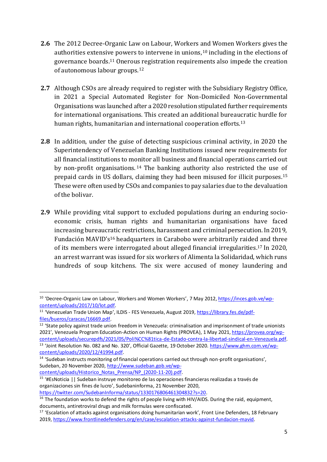- **2.6** The 2012 Decree-Organic Law on Labour, Workers and Women Workers gives the authorities extensive powers to intervene in unions, <sup>10</sup> including in the elections of governance boards. <sup>11</sup> Onerous registration requirements also impede the creation of autonomous labour groups. 12
- **2.7** Although CSOs are already required to register with the Subsidiary Registry Office, in 2021 a Special Automated Register for Non-Domiciled Non-Governmental Organisations was launched after a 2020 resolution stipulated further requirements for international organisations. This created an additional bureaucratic hurdle for human rights, humanitarian and international cooperation efforts.<sup>13</sup>
- **2.8** In addition, under the guise of detecting suspicious criminal activity, in 2020 the Superintendency of Venezuelan Banking Institutions issued new requirements for all financial institutions to monitor all business and financial operations carried out by non-profit organisations.<sup>14</sup> The banking authority also restricted the use of prepaid cards in US dollars, claiming they had been misused for illicit purposes. 15 These were often used by CSOs and companies to pay salaries due to the devaluation of the bolivar.
- **2.9** While providing vital support to excluded populations during an enduring socioeconomic crisis, human rights and humanitarian organisations have faced increasing bureaucratic restrictions, harassment and criminal persecution. In 2019, Fundación MAVID's<sup>16</sup> headquarters in Carabobo were arbitrarily raided and three of its members were interrogated about alleged financial irregularities. <sup>17</sup> In 2020, an arrest warrant was issued for six workers of Alimenta la Solidaridad, which runs hundreds of soup kitchens. The six were accused of money laundering and

<sup>&</sup>lt;sup>10</sup> 'Decree-Organic Law on Labour, Workers and Women Workers', 7 May 2012, [https://inces.gob.ve/wp](https://inces.gob.ve/wp-content/uploads/2017/10/lot.pdf)[content/uploads/2017/10/lot.pdf.](https://inces.gob.ve/wp-content/uploads/2017/10/lot.pdf)

<sup>11</sup> 'Venezuelan Trade Union Map', ILDIS - FES Venezuela, August 2019, [https://library.fes.de/pdf](https://library.fes.de/pdf-files/bueros/caracas/16669.pdf)[files/bueros/caracas/16669.pdf.](https://library.fes.de/pdf-files/bueros/caracas/16669.pdf)

<sup>&</sup>lt;sup>12</sup> 'State policy against trade union freedom in Venezuela: criminalisation and imprisonment of trade unionists 2021', Venezuela Program Education-Action on Human Rights (PROVEA), 1 May 2021, [https://provea.org/wp](https://provea.org/wp-content/uploads/securepdfs/2021/05/Poli%CC%81tica-de-Estado-contra-la-libertad-sindical-en-Venezuela.pdf)[content/uploads/securepdfs/2021/05/Poli%CC%81tica-de-Estado-contra-la-libertad-sindical-en-Venezuela.pdf.](https://provea.org/wp-content/uploads/securepdfs/2021/05/Poli%CC%81tica-de-Estado-contra-la-libertad-sindical-en-Venezuela.pdf) <sup>13</sup> 'Joint Resolution No. 082 and No. 320', Official Gazette, 19 October 2020. [https://www.ghm.com.ve/wp](https://www.ghm.com.ve/wp-content/uploads/2020/12/41994.pdf)[content/uploads/2020/12/41994.pdf.](https://www.ghm.com.ve/wp-content/uploads/2020/12/41994.pdf)

<sup>14</sup> 'Sudeban instructs monitoring of financial operations carried out through non-profit organisations', Sudeban, 20 November 2020, [http://www.sudeban.gob.ve/wp](http://www.sudeban.gob.ve/wp-content/uploads/Historico_Notas_Prensa/NP_(2020-11-20).pdf)[content/uploads/Historico\\_Notas\\_Prensa/NP\\_\(2020-11-20\).pdf.](http://www.sudeban.gob.ve/wp-content/uploads/Historico_Notas_Prensa/NP_(2020-11-20).pdf)

<sup>&</sup>lt;sup>15</sup> '#EsNoticia || Sudeban instruye monitoreo de las operaciones financieras realizadas a través de organizaciones sin fines de lucro', Sudebaninforma, 21 November 2020,

[https://twitter.com/SudebanInforma/status/1330176806461304832?s=20.](https://twitter.com/SudebanInforma/status/1330176806461304832?s=20)

<sup>&</sup>lt;sup>16</sup> The foundation works to defend the rights of people living with HIV/AIDS. During the raid, equipment, documents, antiretroviral drugs and milk formulas were confiscated.

<sup>&</sup>lt;sup>17</sup> 'Escalation of attacks against organisations doing humanitarian work', Front Line Defenders, 18 February 2019, [https://www.frontlinedefenders.org/en/case/escalation-attacks-against-fundacion-mavid.](https://www.frontlinedefenders.org/en/case/escalation-attacks-against-fundacion-mavid)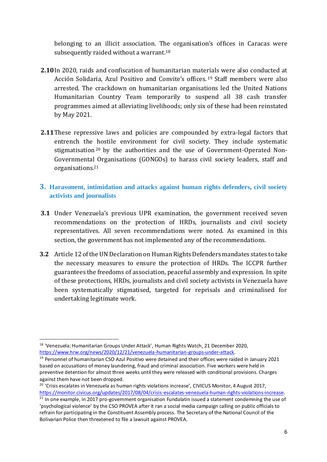belonging to an illicit association. The organisation's offices in Caracas were subsequently raided without a warrant.<sup>18</sup>

- **2.10**In 2020, raids and confiscation of humanitarian materials were also conducted at Acción Solidaria, Azul Positivo and Convite's offices. <sup>19</sup> Staff members were also arrested. The crackdown on humanitarian organisations led the United Nations Humanitarian Country Team temporarily to suspend all 38 cash transfer programmes aimed at alleviating livelihoods; only six of these had been reinstated by May 2021.
- **2.11**These repressive laws and policies are compounded by extra-legal factors that entrench the hostile environment for civil society. They include systematic stigmatisation<sup>20</sup> by the authorities and the use of Government-Operated Non-Governmental Organisations (GONGOs) to harass civil society leaders, staff and organisations. 21
- **3. Harassment, intimidation and attacks against human rights defenders, civil society activists and journalists**
- **3.1** Under Venezuela's previous UPR examination, the government received seven recommendations on the protection of HRDs, journalists and civil society representatives. All seven recommendations were noted. As examined in this section, the government has not implemented any of the recommendations.
- **3.2** Article 12 of the UN Declaration on Human Rights Defenders mandates states to take the necessary measures to ensure the protection of HRDs. The ICCPR further guarantees the freedoms of association, peaceful assembly and expression. In spite of these protections, HRDs, journalists and civil society activists in Venezuela have been systematically stigmatised, targeted for reprisals and criminalised for undertaking legitimate work.

<sup>&</sup>lt;sup>18</sup> 'Venezuela: Humanitarian Groups Under Attack', Human Rights Watch, 21 December 2020, [https://www.hrw.org/news/2020/12/21/venezuela-humanitarian-groups-under-attack.](https://www.hrw.org/news/2020/12/21/venezuela-humanitarian-groups-under-attack)

<sup>19</sup> Personnel of humanitarian CSO Azul Positivo were detained and their offices were raided in January 2021 based on accusations of money laundering, fraud and criminal association. Five workers were held in preventive detention for almost three weeks until they were released with conditional provisions. Charges against them have not been dropped.

<sup>&</sup>lt;sup>20</sup> 'Crisis escalates in Venezuela as human rights violations increase', CIVICUS Monitor, 4 August 2017, [https://monitor.civicus.org/updates/2017/08/04/crisis-escalates-venezuela-human-rights-violations-increase.](https://monitor.civicus.org/updates/2017/08/04/crisis-escalates-venezuela-human-rights-violations-increase/)

<sup>&</sup>lt;sup>21</sup> In one example, in 2017 pro-government organisation Fundalatin issued a statement condemning the use of 'psychological violence' by the CSO PROVEA after it ran a social media campaign calling on public officials to refrain for participating in the Constituent Assembly process. The Secretary of the National Council of the Bolivarian Police then threatened to file a lawsuit against PROVEA.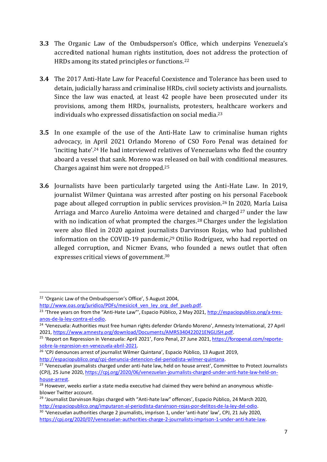- **3.3** The Organic Law of the Ombudsperson's Office, which underpins Venezuela's accredited national human rights institution, does not address the protection of HRDs among its stated principles or functions. 22
- **3.4** The 2017 Anti-Hate Law for Peaceful Coexistence and Tolerance has been used to detain, judicially harass and criminalise HRDs, civil society activists and journalists. Since the law was enacted, at least 42 people have been prosecuted under its provisions, among them HRDs, journalists, protesters, healthcare workers and individuals who expressed dissatisfaction on social media.<sup>23</sup>
- **3.5** In one example of the use of the Anti-Hate Law to criminalise human rights advocacy, in April 2021 Orlando Moreno of CSO Foro Penal was detained for 'inciting hate'.<sup>24</sup> He had interviewed relatives of Venezuelans who fled the country aboard a vessel that sank. Moreno was released on bail with conditional measures. Charges against him were not dropped. 25
- **3.6** Journalists have been particularly targeted using the Anti-Hate Law. In 2019, journalist Wilmer Quintana was arrested after posting on his personal Facebook page about alleged corruption in public services provision. <sup>26</sup> In 2020, María Luisa Arriaga and Marco Aurelio Antoima were detained and charged<sup>27</sup> under the law with no indication of what prompted the charges.<sup>28</sup> Charges under the legislation were also filed in 2020 against journalists Darvinson Rojas, who had published information on the COVID-19 pandemic, <sup>29</sup> Otilio Rodríguez, who had reported on alleged corruption, and Nicmer Evans, who founded a news outlet that often expresses critical views of government. 30

<sup>22</sup> 'Organic Law of the Ombudsperson's Office', 5 August 2004,

[http://www.oas.org/juridico/PDFs/mesicic4\\_ven\\_ley\\_org\\_def\\_pueb.pdf.](http://www.oas.org/juridico/PDFs/mesicic4_ven_ley_org_def_pueb.pdf)

<sup>&</sup>lt;sup>23</sup> 'Three years on from the "Anti-Hate Law"', Espacio Público, 2 May 2021, [http://espaciopublico.ong/a-tres](http://espaciopublico.ong/a-tres-anos-de-la-ley-contra-el-odio/)[anos-de-la-ley-contra-el-odio.](http://espaciopublico.ong/a-tres-anos-de-la-ley-contra-el-odio/)

<sup>24</sup> 'Venezuela: Authorities must free human rights defender Orlando Moreno', Amnesty International, 27 April 2021, [https://www.amnesty.org/download/Documents/AMR5340422021ENGLISH.pdf.](https://www.amnesty.org/download/Documents/AMR5340422021ENGLISH.pdf)

<sup>&</sup>lt;sup>25</sup> 'Report on Repression in Venezuela: April 2021', Foro Penal, 27 June 2021, *https://foropenal.com/reporte*[sobre-la-represion-en-venezuela-abril-2021.](https://foropenal.com/reporte-sobre-la-represion-en-venezuela-abril-2021/)

<sup>&</sup>lt;sup>26</sup> 'CPJ denounces arrest of journalist Wilmer Quintana', Espacio Público, 13 August 2019, [http://espaciopublico.ong/cpj-denuncia-detencion-del-periodista-wilmer-quintana.](http://espaciopublico.ong/cpj-denuncia-detencion-del-periodista-wilmer-quintana/)

<sup>&</sup>lt;sup>27</sup> 'Venezuelan journalists charged under anti-hate law, held on house arrest'. Committee to Protect Journalists (CPJ), 25 June 2020, [https://cpj.org/2020/06/venezuelan-journalists-charged-under-anti-hate-law-held-on](https://cpj.org/2020/06/venezuelan-journalists-charged-under-anti-hate-law-held-on-house-arrest/)[house-arrest.](https://cpj.org/2020/06/venezuelan-journalists-charged-under-anti-hate-law-held-on-house-arrest/)

<sup>&</sup>lt;sup>28</sup> However, weeks earlier a state media executive had claimed they were behind an anonymous whistleblower Twitter account.

<sup>&</sup>lt;sup>29</sup> 'Journalist Darvinson Rojas charged with "Anti-hate law" offences', Espacio Público, 24 March 2020, [http://espaciopublico.ong/imputaron-al-periodista-darvinson-rojas-por-delitos-de-la-ley-del-odio.](http://espaciopublico.ong/imputaron-al-periodista-darvinson-rojas-por-delitos-de-la-ley-del-odio/) <sup>30</sup> 'Venezuelan authorities charge 2 journalists, imprison 1, under 'anti-hate' law', CPJ, 21 July 2020,

[https://cpj.org/2020/07/venezuelan-authorities-charge-2-journalists-imprison-1-under-anti-hate-law.](https://cpj.org/2020/07/venezuelan-authorities-charge-2-journalists-imprison-1-under-anti-hate-law)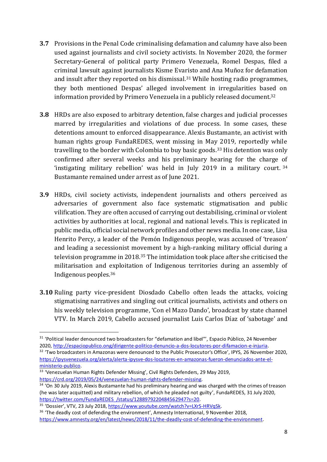- **3.7** Provisions in the Penal Code criminalising defamation and calumny have also been used against journalists and civil society activists. In November 2020, the former Secretary-General of political party Primero Venezuela, Romel Despas, filed a criminal lawsuit against journalists Kisme Evaristo and Ana Muñoz for defamation and insult after they reported on his dismissal. <sup>31</sup> While hosting radio programmes, they both mentioned Despas' alleged involvement in irregularities based on information provided by Primero Venezuela in a publicly released document. 32
- **3.8** HRDs are also exposed to arbitrary detention, false charges and judicial processes marred by irregularities and violations of due process. In some cases, these detentions amount to enforced disappearance. Alexis Bustamante, an activist with human rights group FundaREDES, went missing in May 2019, reportedly while travelling to the border with Colombia to buy basic goods. <sup>33</sup> His detention was only confirmed after several weeks and his preliminary hearing for the charge of 'instigating military rebellion' was held in July 2019 in a military court.<sup>34</sup> Bustamante remained under arrest as of June 2021.
- **3.9** HRDs, civil society activists, independent journalists and others perceived as adversaries of government also face systematic stigmatisation and public vilification. They are often accused of carrying out destabilising, criminal or violent activities by authorities at local, regional and national levels. This is replicated in public media, official social network profiles and other news media. In one case, Lisa Henrito Percy, a leader of the Pemón Indigenous people, was accused of 'treason' and leading a secessionist movement by a high-ranking military official during a television programme in 2018. <sup>35</sup> The intimidation took place after she criticised the militarisation and exploitation of Indigenous territories during an assembly of Indigenous peoples. 36
- **3.10** Ruling party vice-president Diosdado Cabello often leads the attacks, voicing stigmatising narratives and singling out critical journalists, activists and others on his weekly television programme, 'Con el Mazo Dando', broadcast by state channel VTV. In March 2019, Cabello accused journalist Luis Carlos Díaz of 'sabotage' and

<sup>&</sup>lt;sup>31</sup> 'Political leader denounced two broadcasters for "defamation and libel"', Espacio Público, 24 November 2020, [http://espaciopublico.ong/dirigente-politico-denuncio-a-dos-locutores-por-difamacion-e-injuria.](http://espaciopublico.ong/dirigente-politico-denuncio-a-dos-locutores-por-difamacion-e-injuria/)

<sup>&</sup>lt;sup>32</sup> 'Two broadcasters in Amazonas were denounced to the Public Prosecutor's Office', IPYS, 26 November 2020, [https://ipysvenezuela.org/alerta/alerta-ipysve-dos-locutores-en-amazonas-fueron-denunciados-ante-el](https://ipysvenezuela.org/alerta/alerta-ipysve-dos-locutores-en-amazonas-fueron-denunciados-ante-el-ministerio-publico/)[ministerio-publico.](https://ipysvenezuela.org/alerta/alerta-ipysve-dos-locutores-en-amazonas-fueron-denunciados-ante-el-ministerio-publico/)

<sup>33</sup> 'Venezuelan Human Rights Defender Missing', Civil Rights Defenders, 29 May 2019, [https://crd.org/2019/05/24/venezuelan-human-rights-defender-missing.](https://crd.org/2019/05/24/venezuelan-human-rights-defender-missing/)

<sup>&</sup>lt;sup>34</sup> 'On 30 July 2019, Alexis Bustamante had his preliminary hearing and was charged with the crimes of treason (he was later acquitted) and military rebellion, of which he pleaded not guilty', FundaREDES, 31 July 2020, [https://twitter.com/FundaREDES\\_/status/1288979220484562947?s=20.](https://twitter.com/FundaREDES_/status/1288979220484562947?s=20)

<sup>35</sup> 'Dossier', VTV, 23 July 2018, [https://www.youtube.com/watch?v=LXrS-HRVqSk.](https://www.youtube.com/watch?v=LXrS-HRVqSk)

<sup>&</sup>lt;sup>36</sup> 'The deadly cost of defending the environment'. Amnesty International, 9 November 2018, [https://www.amnesty.org/en/latest/news/2018/11/the-deadly-cost-of-defending-the-environment.](https://www.amnesty.org/en/latest/news/2018/11/the-deadly-cost-of-defending-the-environment/)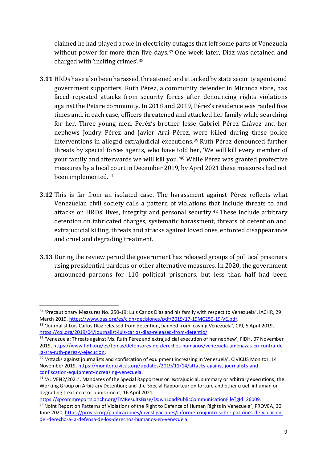claimed he had played a role in electricity outages that left some parts of Venezuela without power for more than five days.<sup>37</sup> One week later, Díaz was detained and charged with 'inciting crimes'.<sup>38</sup>

- **3.11** HRDs have also been harassed, threatened and attacked by state security agents and government supporters. Ruth Pérez, a community defender in Miranda state, has faced repeated attacks from security forces after denouncing rights violations against the Petare community. In 2018 and 2019, Pérez's residence was raided five times and, in each case, officers threatened and attacked her family while searching for her. Three young men, Peréz's brother Jesse Gabriel Pérez Chávez and her nephews Jondry Pérez and Javier Arai Pérez, were killed during these police interventions in alleged extrajudicial executions. <sup>39</sup> Ruth Pérez denounced further threats by special forces agents, who have told her, 'We will kill every member of your family and afterwards we will kill you.'<sup>40</sup> While Pérez was granted protective measures by a local court in December 2019, by April 2021 these measures had not been implemented. 41
- **3.12** This is far from an isolated case. The harassment against Pérez reflects what Venezuelan civil society calls a pattern of violations that include threats to and attacks on HRDs' lives, integrity and personal security. <sup>42</sup> These include arbitrary detention on fabricated charges, systematic harassment, threats of detention and extrajudicial killing, threats and attacks against loved ones, enforced disappearance and cruel and degrading treatment.
- **3.13** During the review period the government has released groups of political prisoners using presidential pardons or other alternative measures. In 2020, the government announced pardons for 110 political prisoners, but less than half had been

<sup>&</sup>lt;sup>37</sup> 'Precautionary Measures No. 250-19: Luis Carlos Díaz and his family with respect to Venezuela', IACHR, 29 March 2019[, https://www.oas.org/es/cidh/decisiones/pdf/2019/17-19MC250-19-VE.pdf.](https://www.oas.org/es/cidh/decisiones/pdf/2019/17-19MC250-19-VE.pdf)

<sup>38</sup> 'Journalist Luis Carlos Díaz released from detention, banned from leaving Venezuela', CPJ, 5 April 2019, [https://cpj.org/2019/04/journalist-luis-carlos-diaz-released-from-detentio/.](https://cpj.org/2019/04/journalist-luis-carlos-diaz-released-from-detentio/)

<sup>&</sup>lt;sup>39</sup> 'Venezuela: Threats against Ms. Ruth Pérez and extrajudicial execution of her nephew', FIDH, 07 November 2019, [https://www.fidh.org/es/temas/defensores-de-derechos-humanos/venezuela-amenazas-en-contra-de](https://www.fidh.org/es/temas/defensores-de-derechos-humanos/venezuela-amenazas-en-contra-de-la-sra-ruth-perez-y-ejecucion)[la-sra-ruth-perez-y-ejecucion.](https://www.fidh.org/es/temas/defensores-de-derechos-humanos/venezuela-amenazas-en-contra-de-la-sra-ruth-perez-y-ejecucion)

<sup>&</sup>lt;sup>40</sup> 'Attacks against journalists and confiscation of equipment increasing in Venezuela', CIVICUS Monitor, 14 November 2019[, https://monitor.civicus.org/updates/2019/11/14/attacks-against-journalists-and](https://monitor.civicus.org/updates/2019/11/14/attacks-against-journalists-and-confiscation-equipment-increasing-venezuela/)[confiscation-equipment-increasing-venezuela.](https://monitor.civicus.org/updates/2019/11/14/attacks-against-journalists-and-confiscation-equipment-increasing-venezuela/)

<sup>41</sup> 'AL VEN2/2021', Mandates of the Special Rapporteur on extrajudicial, summary or arbitrary executions; the Working Group on Arbitrary Detention; and the Special Rapporteur on torture and other cruel, inhuman or degrading treatment or punishment, 16 April 2021,

[https://spcommreports.ohchr.org/TMResultsBase/DownLoadPublicCommunicationFile?gId=26009.](https://spcommreports.ohchr.org/TMResultsBase/DownLoadPublicCommunicationFile?gId=26009)

<sup>&</sup>lt;sup>42</sup> 'Joint Report on Patterns of Violations of the Right to Defence of Human Rights in Venezuela', PROVEA, 30 June 2020, [https://provea.org/publicaciones/investigaciones/informe-conjunto-sobre-patrones-de-violacion](https://provea.org/publicaciones/investigaciones/informe-conjunto-sobre-patrones-de-violacion-del-derecho-a-la-defensa-de-los-derechos-humanos-en-venezuela/)[del-derecho-a-la-defensa-de-los-derechos-humanos-en-venezuela.](https://provea.org/publicaciones/investigaciones/informe-conjunto-sobre-patrones-de-violacion-del-derecho-a-la-defensa-de-los-derechos-humanos-en-venezuela/)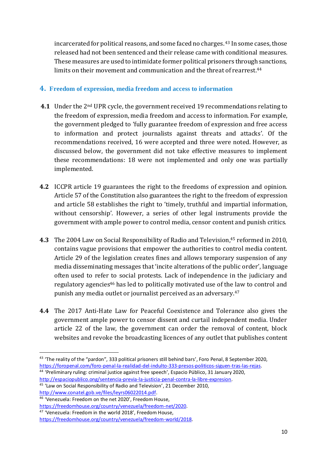incarcerated for political reasons, and some faced no charges. <sup>43</sup> In some cases, those released had not been sentenced and their release came with conditional measures. These measures are used to intimidate former political prisoners through sanctions, limits on their movement and communication and the threat of rearrest. 44

#### **4. Freedom of expression, media freedom and access to information**

- **4.1** Under the 2nd UPR cycle, the government received 19 recommendations relating to the freedom of expression, media freedom and access to information. For example, the government pledged to 'fully guarantee freedom of expression and free access to information and protect journalists against threats and attacks'. Of the recommendations received, 16 were accepted and three were noted. However, as discussed below, the government did not take effective measures to implement these recommendations: 18 were not implemented and only one was partially implemented.
- **4.2** ICCPR article 19 guarantees the right to the freedoms of expression and opinion. Article 57 of the Constitution also guarantees the right to the freedom of expression and article 58 establishes the right to 'timely, truthful and impartial information, without censorship'. However, a series of other legal instruments provide the government with ample power to control media, censor content and punish critics.
- **4.3** The 2004 Law on Social Responsibility of Radio and Television, <sup>45</sup> reformed in 2010, contains vague provisions that empower the authorities to control media content. Article 29 of the legislation creates fines and allows temporary suspension of any media disseminating messages that 'incite alterations of the public order', language often used to refer to social protests. Lack of independence in the judiciary and regulatory agencies<sup>46</sup> has led to politically motivated use of the law to control and punish any media outlet or journalist perceived as an adversary. 47
- **4.4** The 2017 Anti-Hate Law for Peaceful Coexistence and Tolerance also gives the government ample power to censor dissent and curtail independent media. Under article 22 of the law, the government can order the removal of content, block websites and revoke the broadcasting licences of any outlet that publishes content

<sup>&</sup>lt;sup>43</sup> 'The reality of the "pardon", 333 political prisoners still behind bars', Foro Penal, 8 September 2020, [https://foropenal.com/foro-penal-la-realidad-del-indulto-333-presos-politicos-siguen-tras-las-rejas.](https://foropenal.com/foro-penal-la-realidad-del-indulto-333-presos-politicos-siguen-tras-las-rejas/)

<sup>44</sup> 'Preliminary ruling: criminal justice against free speech', Espacio Público, 31 January 2020, [http://espaciopublico.ong/sentencia-previa-la-justicia-penal-contra-la-libre-expresion.](http://espaciopublico.ong/sentencia-previa-la-justicia-penal-contra-la-libre-expresion/)

<sup>45</sup> 'Law on Social Responsibility of Radio and Television', 21 December 2010, [http://www.conatel.gob.ve/files/leyrs06022014.pdf.](http://www.conatel.gob.ve/files/leyrs06022014.pdf)

<sup>46</sup> 'Venezuela: Freedom on the net 2020', Freedom House,

[https://freedomhouse.org/country/venezuela/freedom-net/2020.](https://freedomhouse.org/country/venezuela/freedom-net/2020) <sup>47</sup> 'Venezuela: Freedom in the world 2018', Freedom House,

[https://freedomhouse.org/country/venezuela/freedom-world/2018.](https://freedomhouse.org/country/venezuela/freedom-world/2018)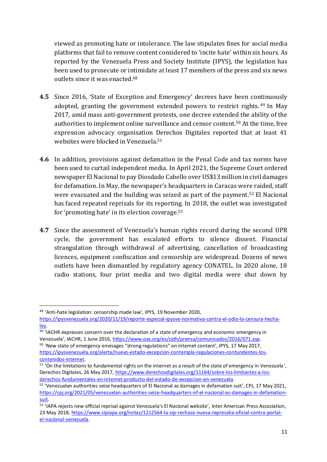viewed as promoting hate or intolerance. The law stipulates fines for social media platforms that fail to remove content considered to 'incite hate' within six hours. As reported by the Venezuela Press and Society Institute (IPYS), the legislation has been used to prosecute or intimidate at least 17 members of the press and six news outlets since it was enacted. 48

- **4.5** Since 2016, 'State of Exception and Emergency' decrees have been continuously adopted, granting the government extended powers to restrict rights. <sup>49</sup> In May 2017, amid mass anti-government protests, one decree extended the ability of the authorities to implement online surveillance and censor content. <sup>50</sup> At the time, free expression advocacy organisation Derechos Digitales reported that at least 41 websites were blocked in Venezuela. 51
- **4.6** In addition, provisions against defamation in the Penal Code and tax norms have been used to curtail independent media. In April 2021, the Supreme Court ordered newspaper El Nacional to pay Diosdado Cabello over US\$13 million in civil damages for defamation. In May, the newspaper's headquarters in Caracas were raided, staff were evacuated and the building was seized as part of the payment. <sup>52</sup> El Nacional has faced repeated reprisals for its reporting. In 2018, the outlet was investigated for 'promoting hate' in its election coverage. 53
- **4.7** Since the assessment of Venezuela's human rights record during the second UPR cycle, the government has escalated efforts to silence dissent. Financial strangulation through withdrawal of advertising, cancellation of broadcasting licences, equipment confiscation and censorship are widespread. Dozens of news outlets have been dismantled by regulatory agency CONATEL. In 2020 alone, 18 radio stations, four print media and two digital media were shut down by

<sup>48</sup> 'Anti-hate legislation: censorship made law', IPYS, 19 November 2020,

[https://ipysvenezuela.org/2020/11/19/reporte-especial-ipysve-normativa-contra-el-odio-la-censura-hecha](https://ipysvenezuela.org/2020/11/19/reporte-especial-ipysve-normativa-contra-el-odio-la-censura-hecha-ley/)[ley.](https://ipysvenezuela.org/2020/11/19/reporte-especial-ipysve-normativa-contra-el-odio-la-censura-hecha-ley/)

<sup>49 &#</sup>x27;IACHR expresses concern over the declaration of a state of emergency and economic emergency in Venezuela', IACHR, 1 June 2016[, https://www.oas.org/es/cidh/prensa/comunicados/2016/071.asp.](https://www.oas.org/es/cidh/prensa/comunicados/2016/071.asp) <sup>50</sup> 'New state of emergency envisages "strong regulations" on internet content', IPYS, 17 May 2017, [https://ipysvenezuela.org/alerta/nuevo-estado-excepcion-contempla-regulaciones-contundentes-los-](https://ipysvenezuela.org/alerta/nuevo-estado-excepcion-contempla-regulaciones-contundentes-los-contenidos-internet/)

[contenidos-internet.](https://ipysvenezuela.org/alerta/nuevo-estado-excepcion-contempla-regulaciones-contundentes-los-contenidos-internet/)

<sup>51</sup> 'On the limitations to fundamental rights on the internet as a result of the state of emergency in Venezuela', Derechos Digitales, 26 May 2017[, https://www.derechosdigitales.org/11164/sobre-los-limitantes-a-los](https://www.derechosdigitales.org/11164/sobre-los-limitantes-a-los-derechos-fundamentales-en-internet-producto-del-estado-de-excepcion-en-venezuela/)[derechos-fundamentales-en-internet-producto-del-estado-de-excepcion-en-venezuela.](https://www.derechosdigitales.org/11164/sobre-los-limitantes-a-los-derechos-fundamentales-en-internet-producto-del-estado-de-excepcion-en-venezuela/)

<sup>52</sup> 'Venezuelan authorities seize headquarters of El Nacional as damages in defamation suit', CPJ, 17 May 2021, [https://cpj.org/2021/05/venezuelan-authorities-seize-headquarters-of-el-nacional-as-damages-in-defamation](https://cpj.org/2021/05/venezuelan-authorities-seize-headquarters-of-el-nacional-as-damages-in-defamation-suit/)[suit.](https://cpj.org/2021/05/venezuelan-authorities-seize-headquarters-of-el-nacional-as-damages-in-defamation-suit/)

<sup>53</sup> 'IAPA rejects new official reprisal against Venezuela's El Nacional website', Inter American Press Association, 23 May 2018[, https://www.sipiapa.org/notas/1212564-la-sip-rechaza-nueva-represalia-oficial-contra-portal](https://www.sipiapa.org/notas/1212564-la-sip-rechaza-nueva-represalia-oficial-contra-portal-el-nacional-venezuela)[el-nacional-venezuela.](https://www.sipiapa.org/notas/1212564-la-sip-rechaza-nueva-represalia-oficial-contra-portal-el-nacional-venezuela)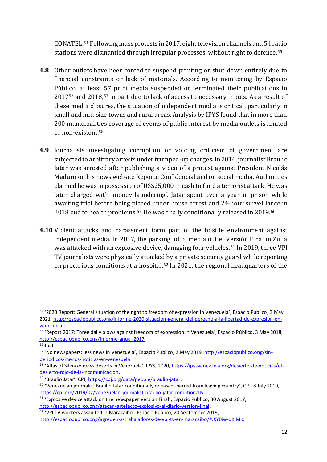CONATEL. <sup>54</sup> Following mass protests in 2017, eight television channels and 54 radio stations were dismantled through irregular processes, without right to defence. 55

- **4.8** Other outlets have been forced to suspend printing or shut down entirely due to financial constraints or lack of materials. According to monitoring by Espacio Público, at least 57 print media suspended or terminated their publications in 2017<sup>56</sup> and 2018, <sup>57</sup> in part due to lack of access to necessary inputs. As a result of these media closures, the situation of independent media is critical, particularly in small and mid-size towns and rural areas. Analysis by IPYS found that in more than 200 municipalities coverage of events of public interest by media outlets is limited or non-existent. 58
- **4.9** Journalists investigating corruption or voicing criticism of government are subjected to arbitrary arrests under trumped-up charges. In 2016, journalist Braulio Jatar was arrested after publishing a video of a protest against President Nicolás Maduro on his news website Reporte Confidencial and on social media. Authorities claimed he was in possession of US\$25,000 in cash to fund a terrorist attack. He was later charged with 'money laundering'. Jatar spent over a year in prison while awaiting trial before being placed under house arrest and 24-hour surveillance in 2018 due to health problems. <sup>59</sup> He was finally conditionally released in 2019. 60
- **4.10** Violent attacks and harassment form part of the hostile environment against independent media. In 2017, the parking lot of media outlet Versión Final in Zulia was attacked with an explosive device, damaging four vehicles. <sup>61</sup> In 2019, three VPI TV journalists were physically attacked by a private security guard while reporting on precarious conditions at a hospital. <sup>62</sup> In 2021, the regional headquarters of the

<sup>54</sup> '2020 Report: General situation of the right to freedom of expression in Venezuela', Espacio Público, 3 May 2021, [http://espaciopublico.ong/informe-2020-situacion-general-del-derecho-a-la-libertad-de-expresion-en](http://espaciopublico.ong/informe-2020-situacion-general-del-derecho-a-la-libertad-de-expresion-en-venezuela/)[venezuela.](http://espaciopublico.ong/informe-2020-situacion-general-del-derecho-a-la-libertad-de-expresion-en-venezuela/)

<sup>55</sup> 'Report 2017: Three daily blows against freedom of expression in Venezuela', Espacio Público, 3 May 2018, [http://espaciopublico.ong/informe-anual-2017.](http://espaciopublico.ong/informe-anual-2017/)

<sup>56</sup> Ibid.

<sup>57 &#</sup>x27;No newspapers: less news in Venezuela', Espacio Público, 2 May 2019, [http://espaciopublico.ong/sin](http://espaciopublico.ong/sin-periodicos-menos-noticias-en-venezuela/)[periodicos-menos-noticias-en-venezuela.](http://espaciopublico.ong/sin-periodicos-menos-noticias-en-venezuela/)

<sup>58</sup> 'Atlas of Silence: news deserts in Venezuela', IPYS, 2020, [https://ipysvenezuela.org/desierto-de-noticias/el](https://ipysvenezuela.org/desierto-de-noticias/el-desierto-rojo-de-la-incomunicacion/)[desierto-rojo-de-la-incomunicacion.](https://ipysvenezuela.org/desierto-de-noticias/el-desierto-rojo-de-la-incomunicacion/)

<sup>59</sup> 'Braulio Jatar', CPJ, [https://cpj.org/data/people/braulio-jatar.](https://cpj.org/data/people/braulio-jatar/)

<sup>&</sup>lt;sup>60</sup> 'Venezuelan journalist Braulio Jatar conditionally released, barred from leaving country', CPJ, 8 July 2019, [https://cpj.org/2019/07/venezuelan-journalist-braulio-jatar-conditionally.](https://cpj.org/2019/07/venezuelan-journalist-braulio-jatar-conditionally/)

 $61$  'Explosive device attack on the newspaper Versión Final', Espacio Público, 30 August 2017, [http://espaciopublico.ong/atacan-artefacto-explosivo-al-diario-version-final.](http://espaciopublico.ong/atacan-artefacto-explosivo-al-diario-version-final/)

<sup>62</sup> 'VPI TV workers assaulted in Maracaibo', Espacio Público, 20 September 2019, [http://espaciopublico.ong/agreden-a-trabajadores-de-vpi-tv-en-maracaibo/#.XY0iw-dKjMK.](http://espaciopublico.ong/agreden-a-trabajadores-de-vpi-tv-en-maracaibo/#.XY0iw-dKjMK)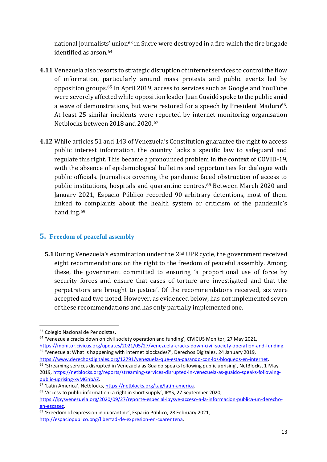national journalists' union<sup>63</sup> in Sucre were destroyed in a fire which the fire brigade identified as arson. 64

- **4.11** Venezuela also resorts to strategic disruption of internet services to control the flow of information, particularly around mass protests and public events led by opposition groups. <sup>65</sup> In April 2019, access to services such as Google and YouTube were severely affected while opposition leader Juan Guaidó spoke to the public amid a wave of demonstrations, but were restored for a speech by President Maduro<sup>66</sup>. At least 25 similar incidents were reported by internet monitoring organisation Netblocks between 2018 and 2020. 67
- **4.12** While articles 51 and 143 of Venezuela's Constitution guarantee the right to access public interest information, the country lacks a specific law to safeguard and regulate this right. This became a pronounced problem in the context of COVID-19, with the absence of epidemiological bulletins and opportunities for dialogue with public officials. Journalists covering the pandemic faced obstruction of access to public institutions, hospitals and quarantine centres. <sup>68</sup> Between March 2020 and January 2021, Espacio Público recorded 90 arbitrary detentions, most of them linked to complaints about the health system or criticism of the pandemic's handling. 69

#### **5. Freedom of peaceful assembly**

**5.1**During Venezuela's examination under the 2nd UPR cycle, the government received eight recommendations on the right to the freedom of peaceful assembly. Among these, the government committed to ensuring 'a proportional use of force by security forces and ensure that cases of torture are investigated and that the perpetrators are brought to justice'. Of the recommendations received, six were accepted and two noted. However, as evidenced below, has not implemented seven of these recommendations and has only partially implemented one.

- [https://monitor.civicus.org/updates/2021/05/27/venezuela-cracks-down-civil-society-operation-and-funding.](https://monitor.civicus.org/updates/2021/05/27/venezuela-cracks-down-civil-society-operation-and-funding/) <sup>65</sup> 'Venezuela: What is happening with internet blockades?', Derechos Digitales, 24 January 2019, [https://www.derechosdigitales.org/12791/venezuela-que-esta-pasando-con-los-bloqueos-en-internet.](https://www.derechosdigitales.org/12791/venezuela-que-esta-pasando-con-los-bloqueos-en-internet/)
- <sup>66</sup> 'Streaming services disrupted in Venezuela as Guaido speaks following public uprising', NetBlocks, 1 May 2019, [https://netblocks.org/reports/streaming-services-disrupted-in-venezuela-as-guaido-speaks-following](https://netblocks.org/reports/streaming-services-disrupted-in-venezuela-as-guaido-speaks-following-public-uprising-xyMGnbAZ)[public-uprising-xyMGnbAZ.](https://netblocks.org/reports/streaming-services-disrupted-in-venezuela-as-guaido-speaks-following-public-uprising-xyMGnbAZ)

<sup>63</sup> Colegio Nacional de Periodistas.

<sup>&</sup>lt;sup>64</sup> 'Venezuela cracks down on civil society operation and funding', CIVICUS Monitor, 27 May 2021,

<sup>67</sup> 'Latin America', Netblocks, [https://netblocks.org/tag/latin-america.](https://netblocks.org/tag/latin-america)

 $68$  'Access to public information: a right in short supply', IPYS, 27 September 2020, [https://ipysvenezuela.org/2020/09/27/reporte-especial-ipysve-acceso-a-la-informacion-publica-un-derecho-](https://ipysvenezuela.org/2020/09/27/reporte-especial-ipysve-acceso-a-la-informacion-publica-un-derecho-en-escasez/)

[en-escasez.](https://ipysvenezuela.org/2020/09/27/reporte-especial-ipysve-acceso-a-la-informacion-publica-un-derecho-en-escasez/)

<sup>&</sup>lt;sup>69</sup> 'Freedom of expression in quarantine', Espacio Público, 28 February 2021, [http://espaciopublico.ong/libertad-de-expresion-en-cuarentena.](http://espaciopublico.ong/libertad-de-expresion-en-cuarentena/)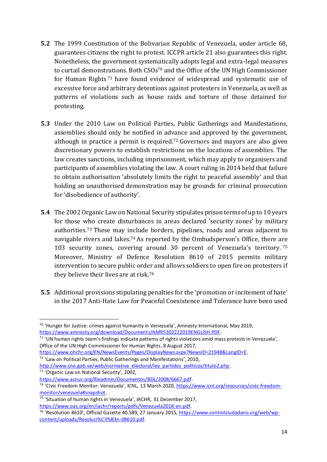- **5.2** The 1999 Constitution of the Bolivarian Republic of Venezuela, under article 68, guarantees citizens the right to protest. ICCPR article 21 also guarantees this right. Nonetheless, the government systematically adopts legal and extra-legal measures to curtail demonstrations. Both CSOs <sup>70</sup> and the Office of the UN High Commissioner for Human Rights <sup>71</sup> have found evidence of widespread and systematic use of excessive force and arbitrary detentions against protesters in Venezuela, as well as patterns of violations such as house raids and torture of those detained for protesting.
- **5.3** Under the 2010 Law on Political Parties, Public Gatherings and Manifestations, assemblies should only be notified in advance and approved by the government, although in practice a permit is required. <sup>72</sup> Governors and mayors are also given discretionary powers to establish restrictions on the locations of assemblies. The law creates sanctions, including imprisonment, which may apply to organisers and participants of assemblies violating the law. A court ruling in 2014 held that failure to obtain authorisation 'absolutely limits the right to peaceful assembly' and that holding an unauthorised demonstration may be grounds for criminal prosecution for 'disobedience of authority'.
- **5.4** The 2002 Organic Law on National Security stipulates prison terms of up to 10 years for those who create disturbances in areas declared 'security zones' by military authorities.<sup>73</sup> These may include borders, pipelines, roads and areas adjacent to navigable rivers and lakes. <sup>74</sup> As reported by the Ombudsperson's Office, there are 103 security zones, covering around 30 percent of Venezuela's territory. 75 Moreover, Ministry of Defence Resolution 8610 of 2015 permits military intervention to secure public order and allows soldiers to open fire on protesters if they believe their lives are at risk.<sup>76</sup>
- **5.5** Additional provisions stipulating penalties for the 'promotion or incitement of hate' in the 2017 Anti-Hate Law for Peaceful Coexistence and Tolerance have been used

<sup>73</sup> 'Organic Law on National Security', 2002,

<sup>&</sup>lt;sup>70</sup> 'Hunger for Justice: crimes against humanity in Venezuela', Amnesty International, May 2019, [https://www.amnesty.org/download/Documents/AMR5302222019ENGLISH.PDF.](https://www.amnesty.org/download/Documents/AMR5302222019ENGLISH.PDF)

<sup>71</sup> 'UN human rights team's findings indicate patterns of rights violations amid mass protests in Venezuela', Office of the UN High Commissioner for Human Rights, 8 August 2017,

[https://www.ohchr.org/EN/NewsEvents/Pages/DisplayNews.aspx?NewsID=21948&LangID=E.](https://www.ohchr.org/EN/NewsEvents/Pages/DisplayNews.aspx?NewsID=21948&LangID=E)

<sup>72</sup> 'Law on Political Parties, Public Gatherings and Manifestations', 2010,

[http://www.cne.gob.ve/web/normativa\\_electoral/ley\\_partidos\\_politicos/titulo2.php.](http://www.cne.gob.ve/web/normativa_electoral/ley_partidos_politicos/titulo2.php)

[https://www.acnur.org/fileadmin/Documentos/BDL/2008/6667.pdf.](https://www.acnur.org/fileadmin/Documentos/BDL/2008/6667.pdf)

<sup>74</sup> 'Civic Freedom Monitor: Venezuela', ICNL, 13 March 2020[, https://www.icnl.org/resources/civic-freedom](https://www.icnl.org/resources/civic-freedom-monitor/venezuela#snapshot)[monitor/venezuela#snapshot.](https://www.icnl.org/resources/civic-freedom-monitor/venezuela#snapshot)

<sup>75</sup> 'Situation of human rights in Venezuela', IACHR, 31 December 2017, [https://www.oas.org/en/iachr/reports/pdfs/Venezuela2018-en.pdf.](https://www.oas.org/en/iachr/reports/pdfs/Venezuela2018-en.pdf)

<sup>76</sup> 'Resolution 8610', Official Gazette 40.589, 27 January 2015[, https://www.controlciudadano.org/web/wp](https://www.controlciudadano.org/web/wp-content/uploads/Resoluci%C3%B3n-08610.pdf)[content/uploads/Resoluci%C3%B3n-08610.pdf.](https://www.controlciudadano.org/web/wp-content/uploads/Resoluci%C3%B3n-08610.pdf)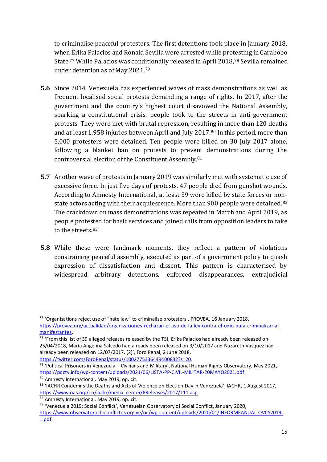to criminalise peaceful protesters. The first detentions took place in January 2018, when Érika Palacios and Ronald Sevilla were arrested while protesting in Carabobo State.<sup>77</sup> While Palacios was conditionally released in April 2018,<sup>78</sup> Sevilla remained under detention as of May 2021. 79

- **5.6** Since 2014, Venezuela has experienced waves of mass demonstrations as well as frequent localised social protests demanding a range of rights. In 2017, after the government and the country's highest court disavowed the National Assembly, sparking a constitutional crisis, people took to the streets in anti-government protests. They were met with brutal repression, resulting in more than 120 deaths and at least 1,958 injuries between April and July 2017. <sup>80</sup> In this period, more than 5,000 protesters were detained. Ten people were killed on 30 July 2017 alone, following a blanket ban on protests to prevent demonstrations during the controversial election of the Constituent Assembly. 81
- **5.7** Another wave of protests in January 2019 was similarly met with systematic use of excessive force. In just five days of protests, 47 people died from gunshot wounds. According to Amnesty International, at least 39 were killed by state forces or nonstate actors acting with their acquiescence. More than 900 people were detained.<sup>82</sup> The crackdown on mass demonstrations was repeated in March and April 2019, as people protested for basic services and joined calls from opposition leaders to take to the streets. 83
- **5.8** While these were landmark moments, they reflect a pattern of violations constraining peaceful assembly, executed as part of a government policy to quash expression of dissatisfaction and dissent. This pattern is characterised by widespread arbitrary detentions, enforced disappearances, extrajudicial

<sup>77</sup> 'Organisations reject use of "hate law" to criminalise protesters', PROVEA, 16 January 2018, [https://provea.org/actualidad/organizaciones-rechazan-el-uso-de-la-ley-contra-el-odio-para-criminalizar-a](https://provea.org/actualidad/organizaciones-rechazan-el-uso-de-la-ley-contra-el-odio-para-criminalizar-a-manifestantes/)[manifestantes.](https://provea.org/actualidad/organizaciones-rechazan-el-uso-de-la-ley-contra-el-odio-para-criminalizar-a-manifestantes/)

<sup>&</sup>lt;sup>78</sup> 'From this list of 39 alleged releases released by the TSJ, Erika Palacios had already been released on 25/04/2018, María Angelina Salcedo had already been released on 3/10/2017 and Nazareth Vasquez had already been released on 12/07/2017. (2)', Foro Penal, 2 June 2018, [https://twitter.com/ForoPenal/status/1002775336449400832?s=20.](https://twitter.com/ForoPenal/status/1002775336449400832?s=20)

<sup>79</sup> 'Political Prisoners in Venezuela – Civilians and Military', National Human Rights Observatory, May 2021, [https://pdctv.info/wp-content/uploads/2021/06/LISTA-PP-CIVIL-MILITAR-20MAYO2021.pdf.](https://pdctv.info/wp-content/uploads/2021/06/LISTA-PP-CIVIL-MILITAR-20MAYO2021.pdf)

<sup>80</sup> Amnesty International, May 2019, op. cit.

<sup>&</sup>lt;sup>81</sup> 'IACHR Condemns the Deaths and Acts of Violence on Election Day in Venezuela', IACHR, 1 August 2017, [https://www.oas.org/en/iachr/media\\_center/PReleases/2017/111.asp.](https://www.oas.org/en/iachr/media_center/PReleases/2017/111.asp)

<sup>82</sup> Amnesty International, May 2019, op. cit.

<sup>83 &#</sup>x27;Venezuela 2019: Social Conflict', Venezuelan Observatory of Social Conflict, January 2020, [https://www.observatoriodeconflictos.org.ve/oc/wp-content/uploads/2020/01/INFORMEANUAL-OVCS2019-](https://www.observatoriodeconflictos.org.ve/oc/wp-content/uploads/2020/01/INFORMEANUAL-OVCS2019-1.pdf) [1.pdf.](https://www.observatoriodeconflictos.org.ve/oc/wp-content/uploads/2020/01/INFORMEANUAL-OVCS2019-1.pdf)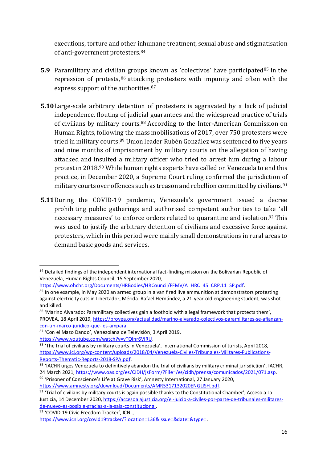executions, torture and other inhumane treatment, sexual abuse and stigmatisation of anti-government protesters.<sup>84</sup>

- **5.9** Paramilitary and civilian groups known as 'colectivos' have participated<sup>85</sup> in the repression of protests, <sup>86</sup> attacking protesters with impunity and often with the express support of the authorities. 87
- **5.10**Large-scale arbitrary detention of protesters is aggravated by a lack of judicial independence, flouting of judicial guarantees and the widespread practice of trials of civilians by military courts.<sup>88</sup> According to the Inter-American Commission on Human Rights, following the mass mobilisations of 2017, over 750 protesters were tried in military courts. <sup>89</sup> Union leader Rubén González was sentenced to five years and nine months of imprisonment by military courts on the allegation of having attacked and insulted a military officer who tried to arrest him during a labour protest in 2018. <sup>90</sup> While human rights experts have called on Venezuela to end this practice, in December 2020, a Supreme Court ruling confirmed the jurisdiction of military courts over offences such as treason and rebellion committed by civilians. 91
- **5.11**During the COVID-19 pandemic, Venezuela's government issued a decree prohibiting public gatherings and authorised competent authorities to take 'all necessary measures' to enforce orders related to quarantine and isolation. <sup>92</sup> This was used to justify the arbitrary detention of civilians and excessive force against protesters, which in this period were mainly small demonstrations in rural areas to demand basic goods and services.

92 'COVID-19 Civic Freedom Tracker', ICNL,

<sup>84</sup> Detailed findings of the independent international fact-finding mission on the Bolivarian Republic of Venezuela, Human Rights Council, 15 September 2020,

[https://www.ohchr.org/Documents/HRBodies/HRCouncil/FFMV/A\\_HRC\\_45\\_CRP.11\\_SP.pdf.](https://www.ohchr.org/Documents/HRBodies/HRCouncil/FFMV/A_HRC_45_CRP.11_SP.pdf)

<sup>&</sup>lt;sup>85</sup> In one example, in May 2020 an armed group in a van fired live ammunition at demonstrators protesting against electricity cuts in Libertador, Mérida. Rafael Hernández, a 21-year-old engineering student, was shot and killed.

<sup>86 &#</sup>x27;Marino Alvarado: Paramilitary collectives gain a foothold with a legal framework that protects them', PROVEA, 18 April 2019, [https://provea.org/actualidad/marino-alvarado-colectivos-paramilitares-se-afianzan](https://provea.org/actualidad/marino-alvarado-colectivos-paramilitares-se-afianzan-con-un-marco-juridico-que-les-ampara/)[con-un-marco-juridico-que-les-ampara.](https://provea.org/actualidad/marino-alvarado-colectivos-paramilitares-se-afianzan-con-un-marco-juridico-que-les-ampara/)

<sup>87</sup> 'Con el Mazo Dando', Venezolana de Televisión, 3 April 2019, [https://www.youtube.com/watch?v=yTOInr6ViRU.](https://www.youtube.com/watch?v=yTOInr6ViRU)

<sup>88 &#</sup>x27;The trial of civilians by military courts in Venezuela', International Commission of Jurists, April 2018, [https://www.icj.org/wp-content/uploads/2018/04/Venezuela-Civiles-Tribunales-Militares-Publications-](https://www.icj.org/wp-content/uploads/2018/04/Venezuela-Civiles-Tribunales-Militares-Publications-Reports-Thematic-Reports-2018-SPA.pdf)[Reports-Thematic-Reports-2018-SPA.pdf.](https://www.icj.org/wp-content/uploads/2018/04/Venezuela-Civiles-Tribunales-Militares-Publications-Reports-Thematic-Reports-2018-SPA.pdf)

<sup>89</sup> 'IACHR urges Venezuela to definitively abandon the trial of civilians by military criminal jurisdiction', IACHR, 24 March 2021[, https://www.oas.org/es/CIDH/jsForm/?File=/es/cidh/prensa/comunicados/2021/071.asp.](https://www.oas.org/es/CIDH/jsForm/?File=/es/cidh/prensa/comunicados/2021/071.asp)

<sup>90</sup> 'Prisoner of Conscience's Life at Grave Risk', Amnesty International, 27 January 2020, [https://www.amnesty.org/download/Documents/AMR5317132020ENGLISH.pdf.](https://www.amnesty.org/download/Documents/AMR5317132020ENGLISH.pdf)

<sup>&</sup>lt;sup>91</sup> 'Trial of civilians by military courts is again possible thanks to the Constitutional Chamber', Acceso a La Justicia, 14 December 2020[, https://accesoalajusticia.org/el-juicio-a-civiles-por-parte-de-tribunales-militares](https://accesoalajusticia.org/el-juicio-a-civiles-por-parte-de-tribunales-militares-de-nuevo-es-posible-gracias-a-la-sala-constitucional/)[de-nuevo-es-posible-gracias-a-la-sala-constitucional.](https://accesoalajusticia.org/el-juicio-a-civiles-por-parte-de-tribunales-militares-de-nuevo-es-posible-gracias-a-la-sala-constitucional/)

[https://www.icnl.org/covid19tracker/?location=136&issue=&date=&type=.](https://www.icnl.org/covid19tracker/?location=136&issue=&date=&type=)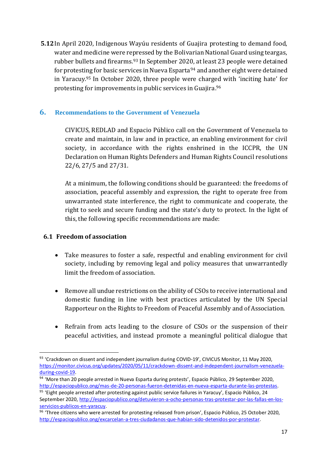**5.12**In April 2020, Indigenous Wayúu residents of Guajira protesting to demand food, water and medicine were repressed by the Bolivarian National Guard using teargas, rubber bullets and firearms. <sup>93</sup> In September 2020, at least 23 people were detained for protesting for basic services in Nueva Esparta<sup>94</sup> and another eight were detained in Yaracuy. <sup>95</sup> In October 2020, three people were charged with 'inciting hate' for protesting for improvements in public services in Guajira. 96

# **6. Recommendations to the Government of Venezuela**

CIVICUS, REDLAD and Espacio Público call on the Government of Venezuela to create and maintain, in law and in practice, an enabling environment for civil society, in accordance with the rights enshrined in the ICCPR, the UN Declaration on Human Rights Defenders and Human Rights Council resolutions 22/6, 27/5 and 27/31.

At a minimum, the following conditions should be guaranteed: the freedoms of association, peaceful assembly and expression, the right to operate free from unwarranted state interference, the right to communicate and cooperate, the right to seek and secure funding and the state's duty to protect. In the light of this, the following specific recommendations are made:

#### **6.1 Freedom of association**

- Take measures to foster a safe, respectful and enabling environment for civil society, including by removing legal and policy measures that unwarrantedly limit the freedom of association.
- Remove all undue restrictions on the ability of CSOs to receive international and domestic funding in line with best practices articulated by the UN Special Rapporteur on the Rights to Freedom of Peaceful Assembly and of Association.
- Refrain from acts leading to the closure of CSOs or the suspension of their peaceful activities, and instead promote a meaningful political dialogue that

<sup>93 &#</sup>x27;Crackdown on dissent and independent journalism during COVID-19', CIVICUS Monitor, 11 May 2020, [https://monitor.civicus.org/updates/2020/05/11/crackdown-dissent-and-independent-journalism-venezuela](https://monitor.civicus.org/updates/2020/05/11/crackdown-dissent-and-independent-journalism-venezuela-during-covid-19/)[during-covid-19.](https://monitor.civicus.org/updates/2020/05/11/crackdown-dissent-and-independent-journalism-venezuela-during-covid-19/)

<sup>94 &#</sup>x27;More than 20 people arrested in Nueva Esparta during protests', Espacio Público, 29 September 2020, [http://espaciopublico.ong/mas-de-20-personas-fueron-detenidas-en-nueva-esparta-durante-las-protestas.](http://espaciopublico.ong/mas-de-20-personas-fueron-detenidas-en-nueva-esparta-durante-las-protestas/)

<sup>95 &#</sup>x27;Eight people arrested after protesting against public service failures in Yaracuy', Espacio Público, 24 September 2020[, http://espaciopublico.ong/detuvieron-a-ocho-personas-tras-protestar-por-las-fallas-en-los](http://espaciopublico.ong/detuvieron-a-ocho-personas-tras-protestar-por-las-fallas-en-los-servicios-publicos-en-yaracuy/)[servicios-publicos-en-yaracuy.](http://espaciopublico.ong/detuvieron-a-ocho-personas-tras-protestar-por-las-fallas-en-los-servicios-publicos-en-yaracuy/)

<sup>96 &#</sup>x27;Three citizens who were arrested for protesting released from prison', Espacio Público, 25 October 2020, [http://espaciopublico.ong/excarcelan-a-tres-ciudadanos-que-habian-sido-detenidos-por-protestar.](http://espaciopublico.ong/excarcelan-a-tres-ciudadanos-que-habian-sido-detenidos-por-protestar/)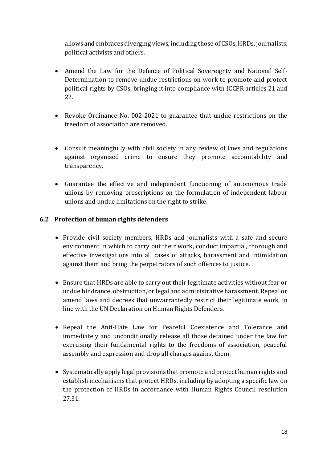allows and embraces diverging views, including those of CSOs, HRDs, journalists, political activists and others.

- Amend the Law for the Defence of Political Sovereignty and National Self-Determination to remove undue restrictions on work to promote and protect political rights by CSOs, bringing it into compliance with ICCPR articles 21 and 22.
- Revoke Ordinance No. 002-2021 to guarantee that undue restrictions on the freedom of association are removed.
- Consult meaningfully with civil society in any review of laws and regulations against organised crime to ensure they promote accountability and transparency.
- Guarantee the effective and independent functioning of autonomous trade unions by removing proscriptions on the formulation of independent labour unions and undue limitations on the right to strike.

#### **6.2 Protection of human rights defenders**

- Provide civil society members, HRDs and journalists with a safe and secure environment in which to carry out their work, conduct impartial, thorough and effective investigations into all cases of attacks, harassment and intimidation against them and bring the perpetrators of such offences to justice.
- Ensure that HRDs are able to carry out their legitimate activities without fear or undue hindrance, obstruction, or legal and administrative harassment. Repeal or amend laws and decrees that unwarrantedly restrict their legitimate work, in line with the UN Declaration on Human Rights Defenders.
- Repeal the Anti-Hate Law for Peaceful Coexistence and Tolerance and immediately and unconditionally release all those detained under the law for exercising their fundamental rights to the freedoms of association, peaceful assembly and expression and drop all charges against them.
- Systematically apply legal provisions that promote and protect human rights and establish mechanisms that protect HRDs, including by adopting a specific law on the protection of HRDs in accordance with Human Rights Council resolution 27.31.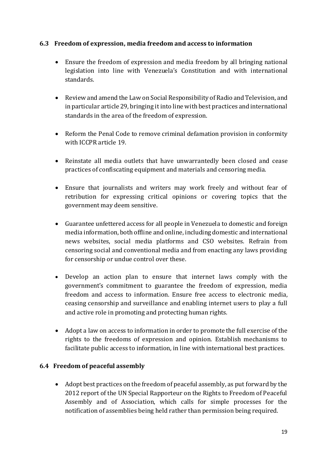#### **6.3 Freedom of expression, media freedom and access to information**

- Ensure the freedom of expression and media freedom by all bringing national legislation into line with Venezuela's Constitution and with international standards.
- Review and amend the Law on Social Responsibility of Radio and Television, and in particular article 29, bringing it into line with best practices and international standards in the area of the freedom of expression.
- Reform the Penal Code to remove criminal defamation provision in conformity with ICCPR article 19.
- Reinstate all media outlets that have unwarrantedly been closed and cease practices of confiscating equipment and materials and censoring media.
- Ensure that journalists and writers may work freely and without fear of retribution for expressing critical opinions or covering topics that the government may deem sensitive.
- Guarantee unfettered access for all people in Venezuela to domestic and foreign media information, both offline and online, including domestic and international news websites, social media platforms and CSO websites. Refrain from censoring social and conventional media and from enacting any laws providing for censorship or undue control over these.
- Develop an action plan to ensure that internet laws comply with the government's commitment to guarantee the freedom of expression, media freedom and access to information. Ensure free access to electronic media, ceasing censorship and surveillance and enabling internet users to play a full and active role in promoting and protecting human rights.
- Adopt a law on access to information in order to promote the full exercise of the rights to the freedoms of expression and opinion. Establish mechanisms to facilitate public access to information, in line with international best practices.

#### **6.4 Freedom of peaceful assembly**

• Adopt best practices on the freedom of peaceful assembly, as put forward by the 2012 report of the UN Special Rapporteur on the Rights to Freedom of Peaceful Assembly and of Association, which calls for simple processes for the notification of assemblies being held rather than permission being required.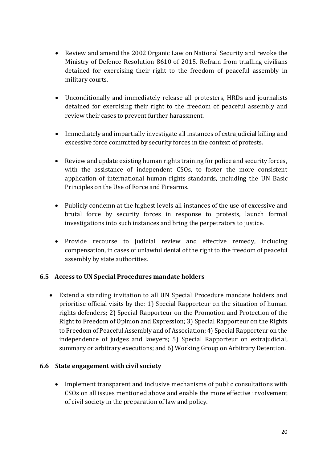- Review and amend the 2002 Organic Law on National Security and revoke the Ministry of Defence Resolution 8610 of 2015. Refrain from trialling civilians detained for exercising their right to the freedom of peaceful assembly in military courts.
- Unconditionally and immediately release all protesters, HRDs and journalists detained for exercising their right to the freedom of peaceful assembly and review their cases to prevent further harassment.
- Immediately and impartially investigate all instances of extrajudicial killing and excessive force committed by security forces in the context of protests.
- Review and update existing human rights training for police and security forces, with the assistance of independent CSOs, to foster the more consistent application of international human rights standards, including the UN Basic Principles on the Use of Force and Firearms.
- Publicly condemn at the highest levels all instances of the use of excessive and brutal force by security forces in response to protests, launch formal investigations into such instances and bring the perpetrators to justice.
- Provide recourse to judicial review and effective remedy, including compensation, in cases of unlawful denial of the right to the freedom of peaceful assembly by state authorities.

# **6.5 Access to UN Special Procedures mandate holders**

• Extend a standing invitation to all UN Special Procedure mandate holders and prioritise official visits by the: 1) Special Rapporteur on the situation of human rights defenders; 2) Special Rapporteur on the Promotion and Protection of the Right to Freedom of Opinion and Expression; 3) Special Rapporteur on the Rights to Freedom of Peaceful Assembly and of Association; 4) Special Rapporteur on the independence of judges and lawyers; 5) Special Rapporteur on extrajudicial, summary or arbitrary executions; and 6) Working Group on Arbitrary Detention.

#### **6.6 State engagement with civil society**

• Implement transparent and inclusive mechanisms of public consultations with CSOs on all issues mentioned above and enable the more effective involvement of civil society in the preparation of law and policy.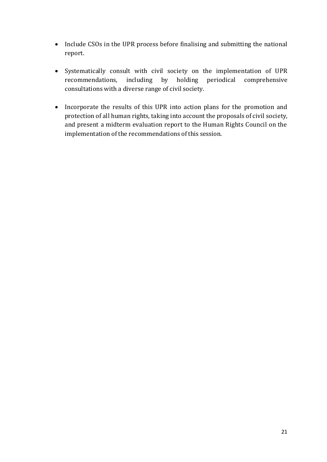- Include CSOs in the UPR process before finalising and submitting the national report.
- Systematically consult with civil society on the implementation of UPR recommendations, including by holding periodical comprehensive consultations with a diverse range of civil society.
- Incorporate the results of this UPR into action plans for the promotion and protection of all human rights, taking into account the proposals of civil society, and present a midterm evaluation report to the Human Rights Council on the implementation of the recommendations of this session.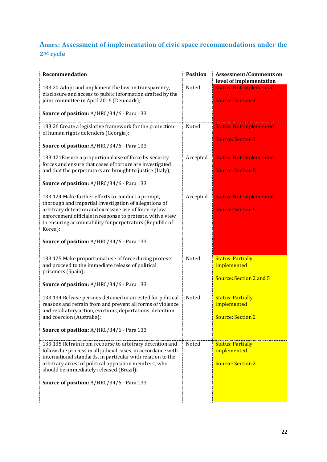# **Annex: Assessment of implementation of civic space recommendations under the 2nd cycle**

| Recommendation                                                                                                                                                                                                                                                                                                                                         | <b>Position</b> | <b>Assessment/Comments on</b><br>level of implementation            |
|--------------------------------------------------------------------------------------------------------------------------------------------------------------------------------------------------------------------------------------------------------------------------------------------------------------------------------------------------------|-----------------|---------------------------------------------------------------------|
| 133.20 Adopt and implement the law on transparency,<br>disclosure and access to public information drafted by the<br>joint committee in April 2016 (Denmark);<br>Source of position: A/HRC/34/6 - Para 133                                                                                                                                             | Noted           | <b>Status: Not implemented</b><br><b>Source: Section 4</b>          |
| 133.26 Create a legislative framework for the protection<br>of human rights defenders (Georgia);<br>Source of position: A/HRC/34/6 - Para 133                                                                                                                                                                                                          | Noted           | <b>Status: Not implemented</b><br><b>Source: Section 3</b>          |
| 133.121 Ensure a proportional use of force by security<br>forces and ensure that cases of torture are investigated<br>and that the perpetrators are brought to justice (Italy);<br>Source of position: A/HRC/34/6 - Para 133                                                                                                                           | Accepted        | <b>Status: Not implemented</b><br><b>Source: Section 5</b>          |
| 133.124 Make further efforts to conduct a prompt,<br>thorough and impartial investigation of allegations of<br>arbitrary detention and excessive use of force by law<br>enforcement officials in response to protests, with a view<br>to ensuring accountability for perpetrators (Republic of<br>Korea);<br>Source of position: A/HRC/34/6 - Para 133 | Accepted        | <b>Status: Not implemented</b><br><b>Source: Section 5</b>          |
| 133.125 Make proportional use of force during protests<br>and proceed to the immediate release of political<br>prisoners (Spain);<br>Source of position: A/HRC/34/6 - Para 133                                                                                                                                                                         | Noted           | <b>Status: Partially</b><br>implemented<br>Source: Section 2 and 5  |
| 133.134 Release persons detained or arrested for political<br>reasons and refrain from and prevent all forms of violence<br>and retaliatory action, evictions, deportations, detention<br>and coercion (Australia);<br>Source of position: A/HRC/34/6 - Para 133                                                                                       | Noted           | <b>Status: Partially</b><br>implemented<br><b>Source: Section 2</b> |
| 133.135 Refrain from recourse to arbitrary detention and<br>follow due process in all judicial cases, in accordance with<br>international standards, in particular with relation to the<br>arbitrary arrest of political opposition members, who<br>should be immediately released (Brazil);<br>Source of position: A/HRC/34/6 - Para 133              | Noted           | <b>Status: Partially</b><br>implemented<br><b>Source: Section 2</b> |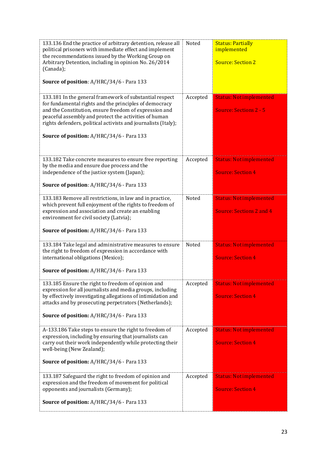| 133.136 End the practice of arbitrary detention, release all<br>political prisoners with immediate effect and implement<br>the recommendations issued by the Working Group on<br>Arbitrary Detention, including in opinion No. 26/2014<br>(Canada);<br>Source of position: A/HRC/34/6 - Para 133                                                    | Noted    | <b>Status: Partially</b><br>implemented<br><b>Source: Section 2</b> |
|-----------------------------------------------------------------------------------------------------------------------------------------------------------------------------------------------------------------------------------------------------------------------------------------------------------------------------------------------------|----------|---------------------------------------------------------------------|
| 133.181 In the general framework of substantial respect<br>for fundamental rights and the principles of democracy<br>and the Constitution, ensure freedom of expression and<br>peaceful assembly and protect the activities of human<br>rights defenders, political activists and journalists (Italy);<br>Source of position: A/HRC/34/6 - Para 133 | Accepted | <b>Status: Not implemented</b><br><b>Source: Sections 2 - 5</b>     |
| 133.182 Take concrete measures to ensure free reporting<br>by the media and ensure due process and the<br>independence of the justice system (Japan);<br>Source of position: A/HRC/34/6 - Para 133                                                                                                                                                  | Accepted | <b>Status: Not implemented</b><br><b>Source: Section 4</b>          |
| 133.183 Remove all restrictions, in law and in practice,<br>which prevent full enjoyment of the rights to freedom of<br>expression and association and create an enabling<br>environment for civil society (Latvia);<br>Source of position: A/HRC/34/6 - Para 133                                                                                   | Noted    | <b>Status: Not implemented</b><br><b>Source: Sections 2 and 4</b>   |
| 133.184 Take legal and administrative measures to ensure<br>the right to freedom of expression in accordance with<br>international obligations (Mexico);<br>Source of position: A/HRC/34/6 - Para 133                                                                                                                                               | Noted    | <b>Status: Not implemented</b><br><b>Source: Section 4</b>          |
| 133.185 Ensure the right to freedom of opinion and<br>expression for all journalists and media groups, including<br>by effectively investigating allegations of intimidation and<br>attacks and by prosecuting perpetrators (Netherlands);<br>Source of position: A/HRC/34/6 - Para 133                                                             | Accepted | <b>Status: Not implemented</b><br><b>Source: Section 4</b>          |
| A-133.186 Take steps to ensure the right to freedom of<br>expression, including by ensuring that journalists can<br>carry out their work independently while protecting their<br>well-being (New Zealand);<br><b>Source of position: A/HRC/34/6 - Para 133</b>                                                                                      | Accepted | <b>Status: Not implemented</b><br><b>Source: Section 4</b>          |
| 133.187 Safeguard the right to freedom of opinion and<br>expression and the freedom of movement for political<br>opponents and journalists (Germany);<br><b>Source of position: A/HRC/34/6 - Para 133</b>                                                                                                                                           | Accepted | <b>Status: Not implemented</b><br><b>Source: Section 4</b>          |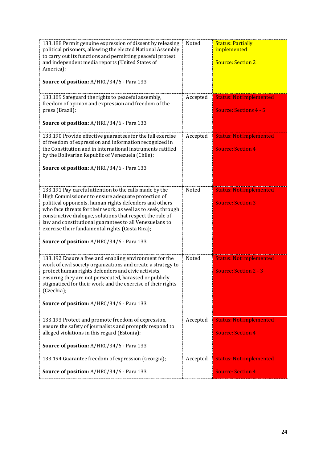| 133.188 Permit genuine expression of dissent by releasing<br>political prisoners, allowing the elected National Assembly<br>to carry out its functions and permitting peaceful protest<br>and independent media reports (United States of<br>America);<br>Source of position: A/HRC/34/6 - Para 133                                                                                                                                                            | Noted    | <b>Status: Partially</b><br>implemented<br><b>Source: Section 2</b> |
|----------------------------------------------------------------------------------------------------------------------------------------------------------------------------------------------------------------------------------------------------------------------------------------------------------------------------------------------------------------------------------------------------------------------------------------------------------------|----------|---------------------------------------------------------------------|
| 133.189 Safeguard the rights to peaceful assembly,<br>freedom of opinion and expression and freedom of the<br>press (Brazil);<br>Source of position: A/HRC/34/6 - Para 133                                                                                                                                                                                                                                                                                     | Accepted | <b>Status: Not implemented</b><br><b>Source: Sections 4 - 5</b>     |
| 133.190 Provide effective guarantees for the full exercise<br>of freedom of expression and information recognized in<br>the Constitution and in international instruments ratified<br>by the Bolivarian Republic of Venezuela (Chile);<br>Source of position: A/HRC/34/6 - Para 133                                                                                                                                                                            | Accepted | <b>Status: Not implemented</b><br><b>Source: Section 4</b>          |
| 133.191 Pay careful attention to the calls made by the<br>High Commissioner to ensure adequate protection of<br>political opponents, human rights defenders and others<br>who face threats for their work, as well as to seek, through<br>constructive dialogue, solutions that respect the rule of<br>law and constitutional guarantees to all Venezuelans to<br>exercise their fundamental rights (Costa Rica);<br>Source of position: A/HRC/34/6 - Para 133 | Noted    | <b>Status: Not implemented</b><br><b>Source: Section 3</b>          |
| 133.192 Ensure a free and enabling environment for the<br>work of civil society organizations and create a strategy to<br>protect human rights defenders and civic activists,<br>ensuring they are not persecuted, harassed or publicly<br>stigmatized for their work and the exercise of their rights<br>(Czechia);<br>Source of position: A/HRC/34/6 - Para 133                                                                                              | Noted    | <b>Status: Not implemented</b><br><b>Source: Section 2 - 3</b>      |
| 133.193 Protect and promote freedom of expression,<br>ensure the safety of journalists and promptly respond to<br>alleged violations in this regard (Estonia);<br>Source of position: A/HRC/34/6 - Para 133                                                                                                                                                                                                                                                    | Accepted | <b>Status: Not implemented</b><br><b>Source: Section 4</b>          |
| 133.194 Guarantee freedom of expression (Georgia);<br>Source of position: A/HRC/34/6 - Para 133                                                                                                                                                                                                                                                                                                                                                                | Accepted | <b>Status: Not implemented</b><br><b>Source: Section 4</b>          |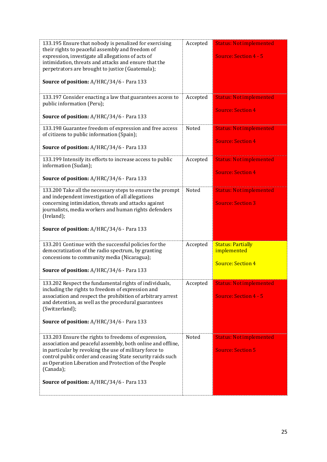| 133.195 Ensure that nobody is penalized for exercising<br>their rights to peaceful assembly and freedom of<br>expression, investigate all allegations of acts of<br>intimidation, threats and attacks and ensure that the<br>perpetrators are brought to justice (Guatemala);<br>Source of position: A/HRC/34/6 - Para 133<br>133.197 Consider enacting a law that guarantees access to | Accepted<br>Accepted | <b>Status: Not implemented</b><br><b>Source: Section 4 - 5</b><br><b>Status: Notimplemented</b> |
|-----------------------------------------------------------------------------------------------------------------------------------------------------------------------------------------------------------------------------------------------------------------------------------------------------------------------------------------------------------------------------------------|----------------------|-------------------------------------------------------------------------------------------------|
| public information (Peru);<br>Source of position: A/HRC/34/6 - Para 133                                                                                                                                                                                                                                                                                                                 |                      | <b>Source: Section 4</b>                                                                        |
| 133.198 Guarantee freedom of expression and free access<br>of citizens to public information (Spain);                                                                                                                                                                                                                                                                                   | Noted                | <b>Status: Notimplemented</b><br><b>Source: Section 4</b>                                       |
| Source of position: A/HRC/34/6 - Para 133                                                                                                                                                                                                                                                                                                                                               |                      |                                                                                                 |
| 133.199 Intensify its efforts to increase access to public<br>information (Sudan);                                                                                                                                                                                                                                                                                                      | Accepted             | <b>Status: Notimplemented</b><br><b>Source: Section 4</b>                                       |
| Source of position: A/HRC/34/6 - Para 133                                                                                                                                                                                                                                                                                                                                               |                      |                                                                                                 |
| 133.200 Take all the necessary steps to ensure the prompt<br>and independent investigation of all allegations<br>concerning intimidation, threats and attacks against<br>journalists, media workers and human rights defenders<br>(Ireland);<br>Source of position: A/HRC/34/6 - Para 133                                                                                               | Noted                | <b>Status: Not implemented</b><br><b>Source: Section 3</b>                                      |
| 133.201 Continue with the successful policies for the<br>democratization of the radio spectrum, by granting<br>concessions to community media (Nicaragua);<br>Source of position: A/HRC/34/6 - Para 133                                                                                                                                                                                 | Accepted             | <b>Status: Partially</b><br>implemented<br><b>Source: Section 4</b>                             |
| 133.202 Respect the fundamental rights of individuals,<br>including the rights to freedom of expression and<br>association and respect the prohibition of arbitrary arrest<br>and detention, as well as the procedural guarantees<br>(Switzerland);<br><b>Source of position: A/HRC/34/6 - Para 133</b>                                                                                 | Accepted             | <b>Status: Not implemented</b><br><b>Source: Section 4 - 5</b>                                  |
| 133.203 Ensure the rights to freedoms of expression,<br>association and peaceful assembly, both online and offline,<br>in particular by revoking the use of military force to<br>control public order and ceasing State security raids such<br>as Operation Liberation and Protection of the People<br>(Canada);<br>Source of position: A/HRC/34/6 - Para 133                           | Noted                | <b>Status: Not implemented</b><br><b>Source: Section 5</b>                                      |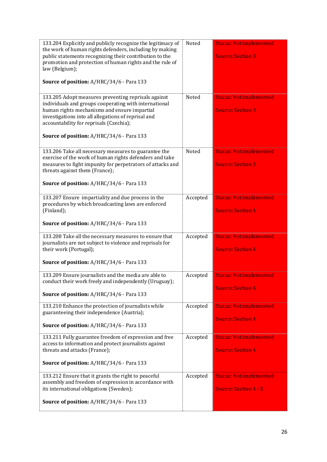| 133.204 Explicitly and publicly recognize the legitimacy of<br>the work of human rights defenders, including by making<br>public statements recognizing their contribution to the<br>promotion and protection of human rights and the rule of<br>law (Belgium);<br>Source of position: A/HRC/34/6 - Para 133 | Noted    | <b>Status: Not implemented</b><br><b>Source: Section 3</b> |
|--------------------------------------------------------------------------------------------------------------------------------------------------------------------------------------------------------------------------------------------------------------------------------------------------------------|----------|------------------------------------------------------------|
| 133.205 Adopt measures preventing reprisals against<br>individuals and groups cooperating with international<br>human rights mechanisms and ensure impartial<br>investigations into all allegations of reprisal and<br>accountability for reprisals (Czechia);<br>Source of position: A/HRC/34/6 - Para 133  | Noted    | <b>Status: Not implemented</b><br><b>Source: Section 3</b> |
| 133.206 Take all necessary measures to guarantee the<br>exercise of the work of human rights defenders and take<br>measures to fight impunity for perpetrators of attacks and<br>threats against them (France);<br>Source of position: A/HRC/34/6 - Para 133                                                 | Noted    | <b>Status: Not implemented</b><br><b>Source: Section 3</b> |
| 133.207 Ensure impartiality and due process in the<br>procedures by which broadcasting laws are enforced<br>(Finland);<br>Source of position: A/HRC/34/6 - Para 133                                                                                                                                          | Accepted | <b>Status: Not implemented</b><br><b>Source: Section 4</b> |
| 133.208 Take all the necessary measures to ensure that<br>journalists are not subject to violence and reprisals for<br>their work (Portugal);<br>Source of position: A/HRC/34/6 - Para 133                                                                                                                   | Accepted | <b>Status: Not implemented</b><br><b>Source: Section 4</b> |
| 133.209 Ensure journalists and the media are able to<br>conduct their work freely and independently (Uruguay);<br>Source of position: A/HRC/34/6 - Para 133                                                                                                                                                  | Accepted | <b>Status: Not implemented</b><br><b>Source: Section 4</b> |
| 133.210 Enhance the protection of journalists while<br>guaranteeing their independence (Austria);<br>Source of position: A/HRC/34/6 - Para 133                                                                                                                                                               | Accepted | <b>Status: Not implemented</b><br><b>Source: Section 4</b> |
| 133.211 Fully guarantee freedom of expression and free<br>access to information and protect journalists against<br>threats and attacks (France);<br><b>Source of position: A/HRC/34/6 - Para 133</b>                                                                                                         | Accepted | <b>Status: Not implemented</b><br><b>Source: Section 4</b> |
| 133.212 Ensure that it grants the right to peaceful<br>assembly and freedom of expression in accordance with<br>its international obligations (Sweden);<br><b>Source of position: A/HRC/34/6 - Para 133</b>                                                                                                  | Accepted | <b>Status: Not implemented</b><br>Source: Section 4 - 5    |